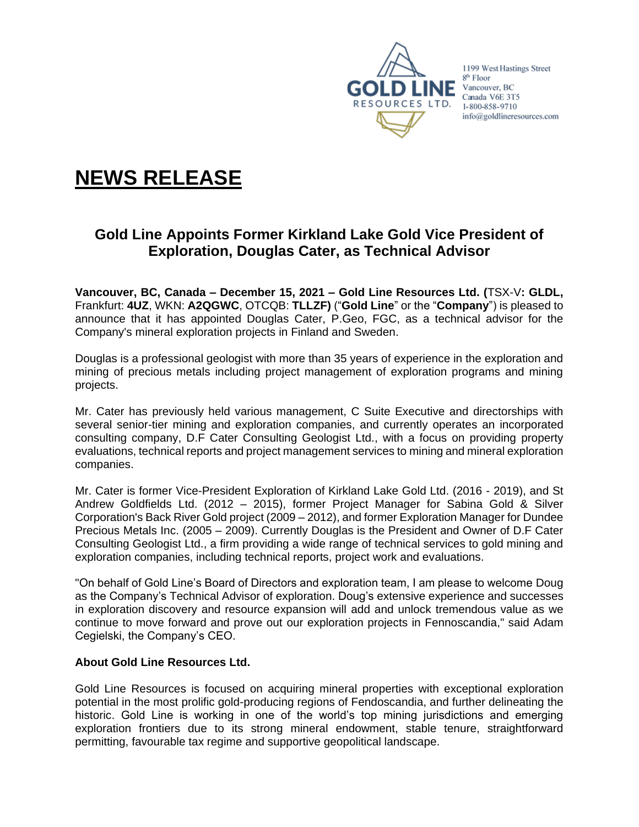

1199 West Hastings Street 8<sup>th</sup> Floor  $INE$  Vancouver, BC Canada V6E 3T5 1-800-858-9710 info@goldlineresources.com

# **NEWS RELEASE**

## **Gold Line Appoints Former Kirkland Lake Gold Vice President of Exploration, Douglas Cater, as Technical Advisor**

**Vancouver, BC, Canada – December 15, 2021 – Gold Line Resources Ltd. (**TSX-V**: GLDL,**  Frankfurt: **4UZ**, WKN: **A2QGWC**, OTCQB: **TLLZF)** ("**Gold Line**" or the "**Company**") is pleased to announce that it has appointed Douglas Cater, P.Geo, FGC, as a technical advisor for the Company's mineral exploration projects in Finland and Sweden.

Douglas is a professional geologist with more than 35 years of experience in the exploration and mining of precious metals including project management of exploration programs and mining projects.

Mr. Cater has previously held various management, C Suite Executive and directorships with several senior-tier mining and exploration companies, and currently operates an incorporated consulting company, D.F Cater Consulting Geologist Ltd., with a focus on providing property evaluations, technical reports and project management services to mining and mineral exploration companies.

Mr. Cater is former Vice-President Exploration of Kirkland Lake Gold Ltd. (2016 - 2019), and St Andrew Goldfields Ltd. (2012 – 2015), former Project Manager for Sabina Gold & Silver Corporation's Back River Gold project (2009 – 2012), and former Exploration Manager for Dundee Precious Metals Inc. (2005 – 2009). Currently Douglas is the President and Owner of D.F Cater Consulting Geologist Ltd., a firm providing a wide range of technical services to gold mining and exploration companies, including technical reports, project work and evaluations.

"On behalf of Gold Line's Board of Directors and exploration team, I am please to welcome Doug as the Company's Technical Advisor of exploration. Doug's extensive experience and successes in exploration discovery and resource expansion will add and unlock tremendous value as we continue to move forward and prove out our exploration projects in Fennoscandia," said Adam Cegielski, the Company's CEO.

### **About Gold Line Resources Ltd.**

Gold Line Resources is focused on acquiring mineral properties with exceptional exploration potential in the most prolific gold-producing regions of Fendoscandia, and further delineating the historic. Gold Line is working in one of the world's top mining jurisdictions and emerging exploration frontiers due to its strong mineral endowment, stable tenure, straightforward permitting, favourable tax regime and supportive geopolitical landscape.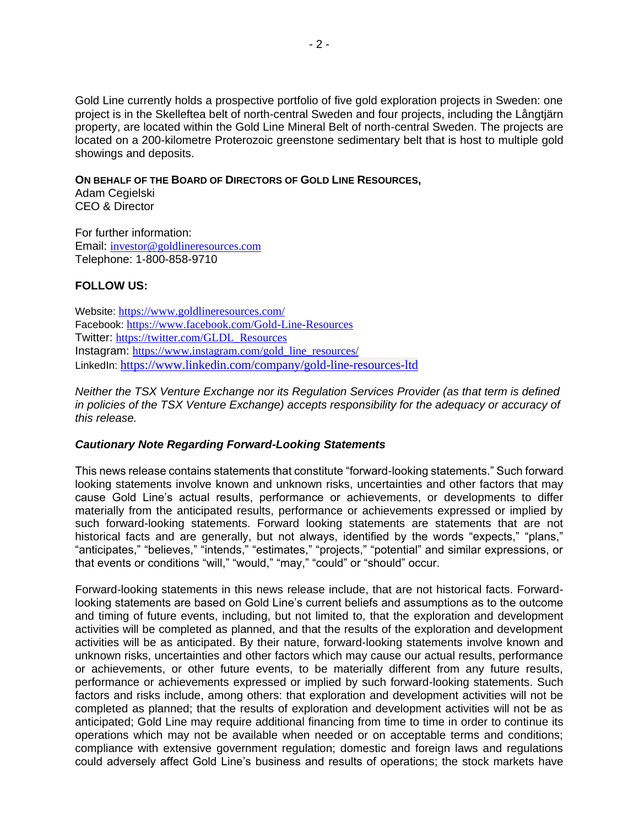Gold Line currently holds a prospective portfolio of five gold exploration projects in Sweden: one project is in the Skelleftea belt of north-central Sweden and four projects, including the Långtjärn property, are located within the Gold Line Mineral Belt of north-central Sweden. The projects are located on a 200-kilometre Proterozoic greenstone sedimentary belt that is host to multiple gold showings and deposits.

#### **ON BEHALF OF THE BOARD OF DIRECTORS OF GOLD LINE RESOURCES,**

Adam Cegielski CEO & Director

For further information: Email: [investor@goldlineresources.com](mailto:investor@goldlineresources.com) Telephone: 1-800-858-9710

#### **FOLLOW US:**

Website: <https://www.goldlineresources.com/> Facebook: <https://www.facebook.com/Gold-Line-Resources> Twitter: [https://twitter.com/GLDL\\_Resources](https://twitter.com/GLDL_Resources) Instagram: [https://www.instagram.com/gold\\_line\\_resources/](https://www.instagram.com/gold_line_resources/) LinkedIn: <https://www.linkedin.com/company/gold-line-resources-ltd>

*Neither the TSX Venture Exchange nor its Regulation Services Provider (as that term is defined in policies of the TSX Venture Exchange) accepts responsibility for the adequacy or accuracy of this release.*

#### *Cautionary Note Regarding Forward-Looking Statements*

This news release contains statements that constitute "forward-looking statements." Such forward looking statements involve known and unknown risks, uncertainties and other factors that may cause Gold Line's actual results, performance or achievements, or developments to differ materially from the anticipated results, performance or achievements expressed or implied by such forward-looking statements. Forward looking statements are statements that are not historical facts and are generally, but not always, identified by the words "expects," "plans," "anticipates," "believes," "intends," "estimates," "projects," "potential" and similar expressions, or that events or conditions "will," "would," "may," "could" or "should" occur.

Forward-looking statements in this news release include, that are not historical facts. Forwardlooking statements are based on Gold Line's current beliefs and assumptions as to the outcome and timing of future events, including, but not limited to, that the exploration and development activities will be completed as planned, and that the results of the exploration and development activities will be as anticipated. By their nature, forward-looking statements involve known and unknown risks, uncertainties and other factors which may cause our actual results, performance or achievements, or other future events, to be materially different from any future results, performance or achievements expressed or implied by such forward-looking statements. Such factors and risks include, among others: that exploration and development activities will not be completed as planned; that the results of exploration and development activities will not be as anticipated; Gold Line may require additional financing from time to time in order to continue its operations which may not be available when needed or on acceptable terms and conditions; compliance with extensive government regulation; domestic and foreign laws and regulations could adversely affect Gold Line's business and results of operations; the stock markets have